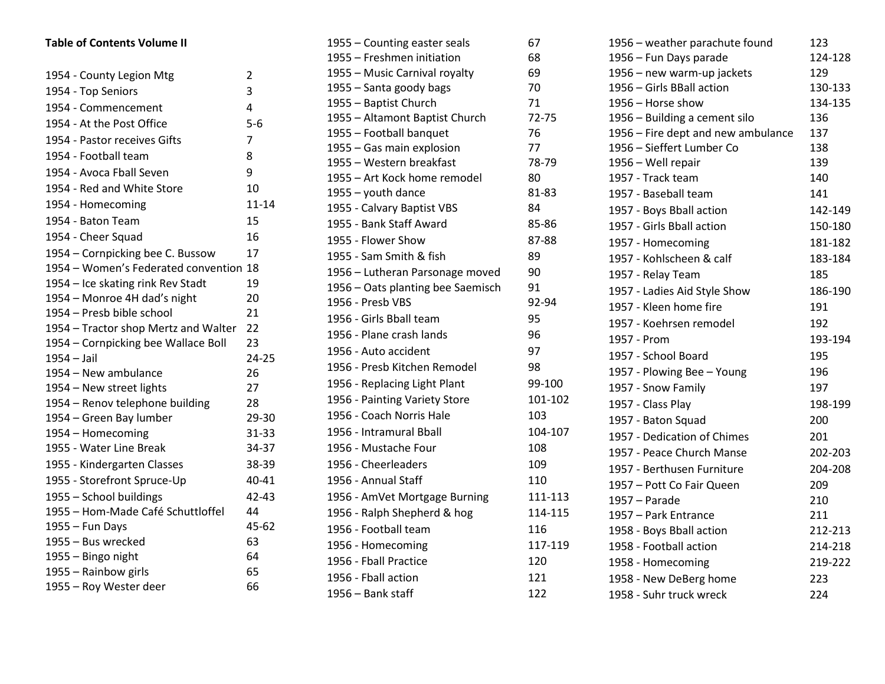| <b>Table of Contents Volume II</b>                 |                |  |  |  |
|----------------------------------------------------|----------------|--|--|--|
| 1954 - County Legion Mtg                           | $\overline{2}$ |  |  |  |
| 1954 - Top Seniors                                 | 3              |  |  |  |
| 1954 - Commencement                                | 4              |  |  |  |
| 1954 - At the Post Office                          | $5-6$          |  |  |  |
| 1954 - Pastor receives Gifts                       | 7              |  |  |  |
| 1954 - Football team                               | 8              |  |  |  |
| 1954 - Avoca Fball Seven                           | 9              |  |  |  |
| 1954 - Red and White Store                         | 10             |  |  |  |
| 1954 - Homecoming                                  | $11 - 14$      |  |  |  |
|                                                    |                |  |  |  |
| 1954 - Baton Team                                  | 15             |  |  |  |
| 1954 - Cheer Squad                                 | 16             |  |  |  |
| 1954 – Cornpicking bee C. Bussow                   | 17             |  |  |  |
| 1954 - Women's Federated convention 18             |                |  |  |  |
| 1954 – Ice skating rink Rev Stadt                  | 19             |  |  |  |
| 1954 - Monroe 4H dad's night                       | 20             |  |  |  |
| 1954 - Presb bible school                          | 21<br>22       |  |  |  |
| 1954 – Tractor shop Mertz and Walter               | 23             |  |  |  |
| 1954 – Cornpicking bee Wallace Boll<br>1954 - Jail | 24-25          |  |  |  |
| 1954 - New ambulance                               | 26             |  |  |  |
| 1954 – New street lights                           | 27             |  |  |  |
| 1954 - Renov telephone building                    | 28             |  |  |  |
| 1954 – Green Bay lumber                            | 29-30          |  |  |  |
| 1954 - Homecoming                                  | 31-33          |  |  |  |
| 1955 - Water Line Break                            | 34-37          |  |  |  |
| 1955 - Kindergarten Classes                        | 38-39          |  |  |  |
| 1955 - Storefront Spruce-Up                        | 40-41          |  |  |  |
| 1955 - School buildings                            | 42-43          |  |  |  |
| 1955 – Hom-Made Café Schuttloffel                  | 44             |  |  |  |
| 1955 - Fun Days                                    | 45-62          |  |  |  |
| 1955 - Bus wrecked                                 | 63             |  |  |  |
| 1955 - Bingo night                                 | 64             |  |  |  |
| 1955 - Rainbow girls                               | 65             |  |  |  |
| 1955 - Roy Wester deer                             | 66             |  |  |  |

| 1955 - Counting easter seals      | 67      |
|-----------------------------------|---------|
| 1955 - Freshmen initiation        | 68      |
| 1955 - Music Carnival royalty     | 69      |
| 1955 - Santa goody bags           | 70      |
| 1955 - Baptist Church             | 71      |
| 1955 - Altamont Baptist Church    | 72-75   |
| 1955 - Football banquet           | 76      |
| 1955 - Gas main explosion         | 77      |
| 1955 - Western breakfast          | 78-79   |
| 1955 - Art Kock home remodel      | 80      |
| $1955 -$ youth dance              | 81-83   |
| 1955 - Calvary Baptist VBS        | 84      |
| 1955 - Bank Staff Award           | 85-86   |
| 1955 - Flower Show                | 87-88   |
| 1955 - Sam Smith & fish           | 89      |
| 1956 - Lutheran Parsonage moved   | 90      |
| 1956 - Oats planting bee Saemisch | 91      |
| 1956 - Presb VBS                  | 92-94   |
| 1956 - Girls Bball team           | 95      |
| 1956 - Plane crash lands          | 96      |
| 1956 - Auto accident              | 97      |
| 1956 - Presb Kitchen Remodel      | 98      |
| 1956 - Replacing Light Plant      | 99-100  |
| 1956 - Painting Variety Store     | 101-102 |
| 1956 - Coach Norris Hale          | 103     |
| 1956 - Intramural Bball           | 104-107 |
| 1956 - Mustache Four              | 108     |
| 1956 - Cheerleaders               | 109     |
| 1956 - Annual Staff               | 110     |
| 1956 - AmVet Mortgage Burning     | 111-113 |
| 1956 - Ralph Shepherd & hog       | 114-115 |
| 1956 - Football team              | 116     |
| 1956 - Homecoming                 | 117-119 |
| 1956 - Fball Practice             | 120     |
| 1956 - Fball action               | 121     |
| 1956 - Bank staff                 | 122     |
|                                   |         |

| 1956 - weather parachute found     | 123     |
|------------------------------------|---------|
| 1956 - Fun Days parade             | 124-128 |
| 1956 - new warm-up jackets         | 129     |
| 1956 - Girls BBall action          | 130-133 |
| 1956 - Horse show                  | 134-135 |
| 1956 - Building a cement silo      | 136     |
| 1956 - Fire dept and new ambulance | 137     |
| 1956 - Sieffert Lumber Co          | 138     |
| 1956 - Well repair                 | 139     |
| 1957 - Track team                  | 140     |
| 1957 - Baseball team               | 141     |
| 1957 - Boys Bball action           | 142-149 |
| 1957 - Girls Bball action          | 150-180 |
| 1957 - Homecoming                  | 181-182 |
| 1957 - Kohlscheen & calf           | 183-184 |
| 1957 - Relay Team                  | 185     |
| 1957 - Ladies Aid Style Show       | 186-190 |
| 1957 - Kleen home fire             | 191     |
| 1957 - Koehrsen remodel            | 192     |
| 1957 - Prom                        | 193-194 |
| 1957 - School Board                | 195     |
| 1957 - Plowing Bee - Young         | 196     |
| 1957 - Snow Family                 | 197     |
| 1957 - Class Play                  | 198-199 |
| 1957 - Baton Squad                 | 200     |
| 1957 - Dedication of Chimes        | 201     |
| 1957 - Peace Church Manse          | 202-203 |
| 1957 - Berthusen Furniture         | 204-208 |
| 1957 - Pott Co Fair Queen          | 209     |
| $1957 - Parade$                    | 210     |
| 1957 - Park Entrance               | 211     |
| 1958 - Boys Bball action           | 212-213 |
| 1958 - Football action             | 214-218 |
| 1958 - Homecoming                  | 219-222 |
| 1958 - New DeBerg home             | 223     |
| 1958 - Suhr truck wreck            | 224     |
|                                    |         |